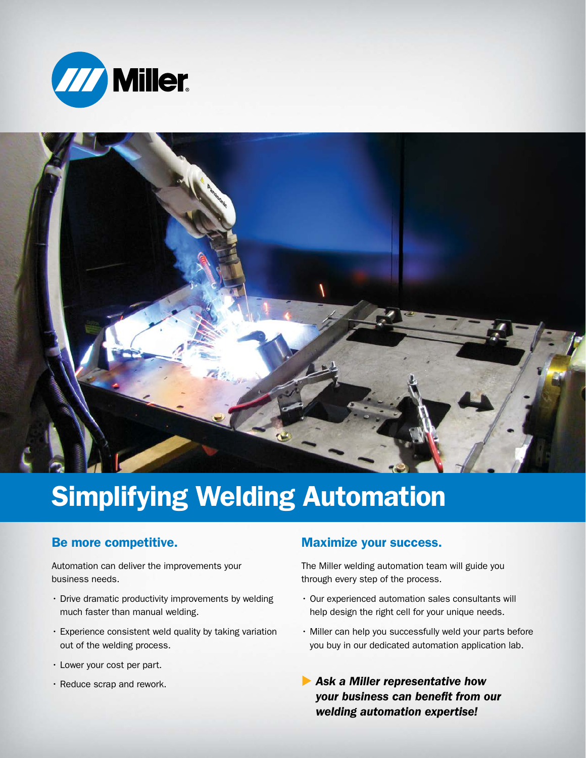



# Simplifying Welding Automation

### Be more competitive.

Automation can deliver the improvements your business needs.

- Drive dramatic productivity improvements by welding much faster than manual welding.
- Experience consistent weld quality by taking variation out of the welding process.
- Lower your cost per part.
- Reduce scrap and rework.

#### Maximize your success.

The Miller welding automation team will guide you through every step of the process.

- Our experienced automation sales consultants will help design the right cell for your unique needs.
- Miller can help you successfully weld your parts before you buy in our dedicated automation application lab.
- **Ask a Miller representative how** *your business can benefit from our welding automation expertise!*